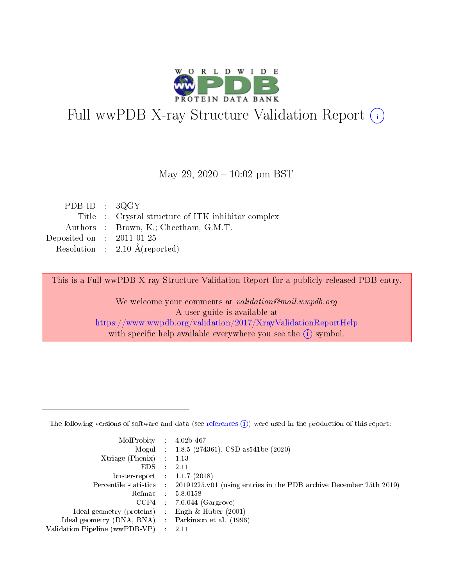

# Full wwPDB X-ray Structure Validation Report (i)

#### May 29,  $2020 - 10:02$  pm BST

| PDB ID : $3QGY$             |                                                    |
|-----------------------------|----------------------------------------------------|
|                             | Title : Crystal structure of ITK inhibitor complex |
|                             | Authors : Brown, K.; Cheetham, G.M.T.              |
| Deposited on : $2011-01-25$ |                                                    |
|                             | Resolution : $2.10 \text{ Å}$ (reported)           |

This is a Full wwPDB X-ray Structure Validation Report for a publicly released PDB entry.

We welcome your comments at validation@mail.wwpdb.org A user guide is available at <https://www.wwpdb.org/validation/2017/XrayValidationReportHelp> with specific help available everywhere you see the  $(i)$  symbol.

The following versions of software and data (see [references](https://www.wwpdb.org/validation/2017/XrayValidationReportHelp#references)  $(1)$ ) were used in the production of this report:

| MolProbity :                   |               | $4.02b - 467$                                                               |
|--------------------------------|---------------|-----------------------------------------------------------------------------|
|                                |               | Mogul : $1.8.5$ (274361), CSD as 541be (2020)                               |
| $X$ triage (Phenix) :          |               | 1.13                                                                        |
| EDS.                           |               | 2.11                                                                        |
| buster-report : $1.1.7$ (2018) |               |                                                                             |
| Percentile statistics :        |               | $20191225 \text{v}01$ (using entries in the PDB archive December 25th 2019) |
| Refmac :                       |               | 5.8.0158                                                                    |
| $CCP4$ :                       |               | $7.0.044$ (Gargrove)                                                        |
| Ideal geometry (proteins) :    |               | Engh $\&$ Huber (2001)                                                      |
| Ideal geometry (DNA, RNA) :    |               | Parkinson et al. (1996)                                                     |
| Validation Pipeline (wwPDB-VP) | $\mathcal{L}$ | 2.11                                                                        |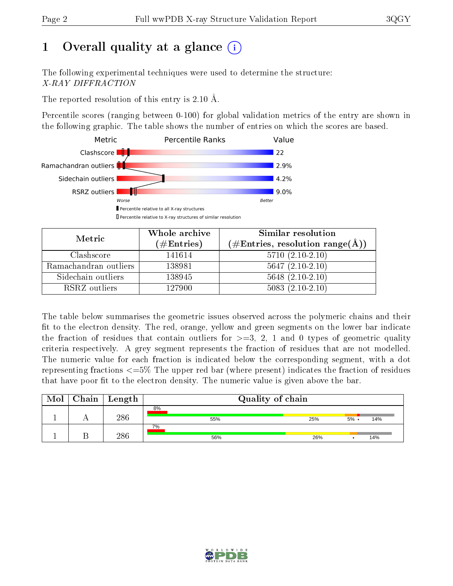# 1 [O](https://www.wwpdb.org/validation/2017/XrayValidationReportHelp#overall_quality)verall quality at a glance  $(i)$

The following experimental techniques were used to determine the structure: X-RAY DIFFRACTION

The reported resolution of this entry is 2.10 Å.

Percentile scores (ranging between 0-100) for global validation metrics of the entry are shown in the following graphic. The table shows the number of entries on which the scores are based.



| Metric                | Whole archive<br>$(\#\text{Entries})$ | <b>Similar resolution</b><br>$(\#\text{Entries}, \text{resolution range}(\text{\AA}))$ |
|-----------------------|---------------------------------------|----------------------------------------------------------------------------------------|
| Clashscore            | 141614                                | $5710(2.10-2.10)$                                                                      |
| Ramachandran outliers | 138981                                | $5647(2.10-2.10)$                                                                      |
| Sidechain outliers    | 138945                                | $5648$ $(2.10-2.10)$                                                                   |
| RSRZ outliers         | 127900                                | $5083(2.10-2.10)$                                                                      |

The table below summarises the geometric issues observed across the polymeric chains and their fit to the electron density. The red, orange, yellow and green segments on the lower bar indicate the fraction of residues that contain outliers for  $\geq=3$ , 2, 1 and 0 types of geometric quality criteria respectively. A grey segment represents the fraction of residues that are not modelled. The numeric value for each fraction is indicated below the corresponding segment, with a dot representing fractions  $\epsilon = 5\%$  The upper red bar (where present) indicates the fraction of residues that have poor fit to the electron density. The numeric value is given above the bar.

| Mol | Chain | Length | Quality of chain |     |         |     |  |  |  |
|-----|-------|--------|------------------|-----|---------|-----|--|--|--|
|     |       |        | 8%               |     |         |     |  |  |  |
|     |       | 286    | 55%              | 25% | $5\%$ . | 14% |  |  |  |
|     |       |        | 7%               |     |         |     |  |  |  |
|     |       | 286    | 56%              | 26% |         | 14% |  |  |  |

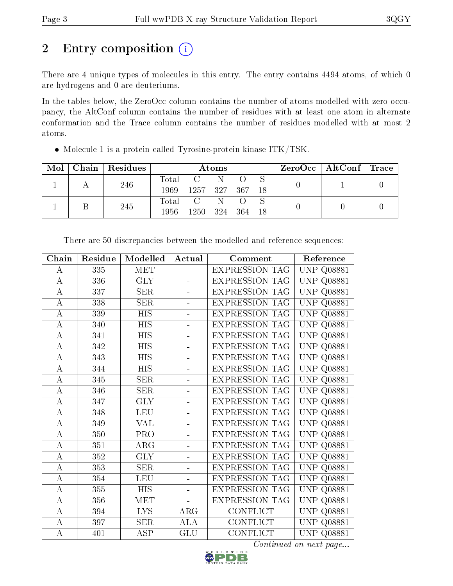# 2 Entry composition (i)

There are 4 unique types of molecules in this entry. The entry contains 4494 atoms, of which 0 are hydrogens and 0 are deuteriums.

In the tables below, the ZeroOcc column contains the number of atoms modelled with zero occupancy, the AltConf column contains the number of residues with at least one atom in alternate conformation and the Trace column contains the number of residues modelled with at most 2 atoms.

| Mol | Chain Residues | Atoms |                 |    |            |  |  | $\rm ZeroOcc \mid AltConf \mid Trace$ |  |
|-----|----------------|-------|-----------------|----|------------|--|--|---------------------------------------|--|
|     | 246            | Total | $C \tN$         |    |            |  |  |                                       |  |
|     |                | 1969. | 1257 327 367 18 |    |            |  |  |                                       |  |
|     | 245            | Total | $\mathbf{C}$    | -N |            |  |  |                                       |  |
|     |                | 1956- | 1250 324        |    | - 364 - 18 |  |  |                                       |  |

Molecule 1 is a protein called Tyrosine-protein kinase ITK/TSK.

| Chain                 | Residue | Modelled   | Actual         | Comment               | Reference                             |
|-----------------------|---------|------------|----------------|-----------------------|---------------------------------------|
| А                     | 335     | <b>MET</b> | ÷.             | <b>EXPRESSION TAG</b> | UNP<br>Q08881                         |
| $\boldsymbol{A}$      | 336     | <b>GLY</b> |                | <b>EXPRESSION TAG</b> | UNP<br>Q08881                         |
| $\boldsymbol{A}$      | 337     | <b>SER</b> |                | <b>EXPRESSION TAG</b> | UNP<br>Q08881                         |
| $\boldsymbol{A}$      | 338     | <b>SER</b> |                | <b>EXPRESSION TAG</b> | <b>UNP</b><br>Q08881                  |
| $\boldsymbol{A}$      | 339     | HIS        | ÷.             | <b>EXPRESSION TAG</b> | <b>UNP</b><br>Q08881                  |
| А                     | 340     | HIS        | ÷,             | EXPRESSION TAG        | <b>UNP</b><br>Q08881                  |
| $\boldsymbol{A}$      | 341     | <b>HIS</b> | ÷,             | <b>EXPRESSION TAG</b> | UNP<br>Q08881                         |
| A                     | 342     | <b>HIS</b> | L,             | <b>EXPRESSION TAG</b> | <b>UNP</b><br>Q08881                  |
| $\mathbf A$           | 343     | <b>HIS</b> | $\frac{1}{2}$  | <b>EXPRESSION TAG</b> | <b>UNP</b><br>Q08881                  |
| $\boldsymbol{A}$      | 344     | <b>HIS</b> | ÷,             | <b>EXPRESSION TAG</b> | <b>UNP</b><br>Q08881                  |
| $\boldsymbol{A}$      | 345     | <b>SER</b> |                | <b>EXPRESSION TAG</b> | <b>UNP</b><br>Q08881                  |
| $\boldsymbol{A}$      | 346     | <b>SER</b> |                | <b>EXPRESSION TAG</b> | UNP<br>$Q$ 08881                      |
| $\boldsymbol{A}$      | 347     | <b>GLY</b> |                | <b>EXPRESSION TAG</b> | UNP<br>Q08881                         |
| $\boldsymbol{A}$      | 348     | <b>LEU</b> | ÷,             | <b>EXPRESSION TAG</b> | UNP<br>Q08881                         |
| А                     | 349     | VAL        | $\blacksquare$ | <b>EXPRESSION TAG</b> | UNP<br>Q08881                         |
| $\boldsymbol{\rm{A}}$ | 350     | PRO        | ÷,             | <b>EXPRESSION TAG</b> | UNP<br>Q08881                         |
| А                     | 351     | $\rm{ARG}$ | L,             | <b>EXPRESSION TAG</b> | UNP<br>Q08881                         |
| $\mathbf A$           | 352     | <b>GLY</b> | $\frac{1}{2}$  | <b>EXPRESSION TAG</b> | <b>UNP</b><br>Q08881                  |
| $\overline{\rm A}$    | 353     | SER        | L,             | EXPRESSION TAG        | <b>UNP</b><br>$Q$ 08881               |
| $\boldsymbol{A}$      | 354     | <b>LEU</b> |                | <b>EXPRESSION TAG</b> | $\ensuremath{\mathrm{UNP}}$<br>Q08881 |
| $\boldsymbol{A}$      | 355     | <b>HIS</b> |                | <b>EXPRESSION TAG</b> | <b>UNP</b><br>Q08881                  |
| $\boldsymbol{A}$      | 356     | <b>MET</b> |                | <b>EXPRESSION TAG</b> | UNP<br>Q08881                         |
| $\bf{A}$              | 394     | <b>LYS</b> | $\rm{ARG}$     | <b>CONFLICT</b>       | UNP<br>Q08881                         |
| А                     | 397     | <b>SER</b> | <b>ALA</b>     | <b>CONFLICT</b>       | UNP<br>Q08881                         |
| $\boldsymbol{A}$      | 401     | <b>ASP</b> | GLU            | <b>CONFLICT</b>       | <b>UNP Q08881</b>                     |

There are 50 discrepancies between the modelled and reference sequences:

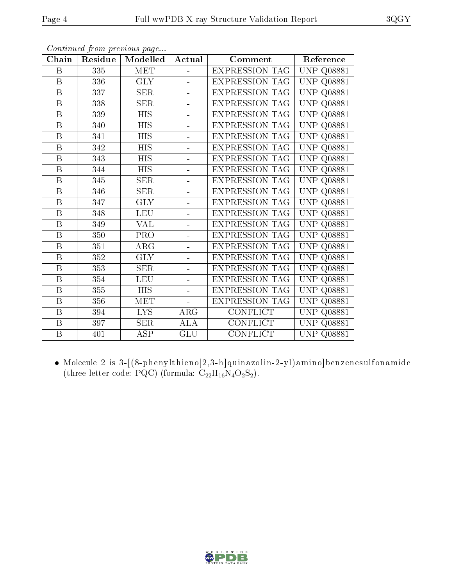| Chain                   | Residue | Modelled   | Actual         | Comment               | Reference               |
|-------------------------|---------|------------|----------------|-----------------------|-------------------------|
| B                       | 335     | MET        |                | <b>EXPRESSION TAG</b> | <b>UNP Q08881</b>       |
| $\boldsymbol{B}$        | 336     | <b>GLY</b> | $\equiv$       | <b>EXPRESSION TAG</b> | <b>UNP</b><br>Q08881    |
| $\boldsymbol{B}$        | 337     | <b>SER</b> | $\overline{a}$ | <b>EXPRESSION TAG</b> | <b>UNP</b><br>Q08881    |
| $\, {\bf B}$            | 338     | <b>SER</b> | $\equiv$       | <b>EXPRESSION TAG</b> | <b>UNP</b><br>Q08881    |
| $\boldsymbol{B}$        | 339     | HIS        | ÷              | <b>EXPRESSION TAG</b> | UNP<br>Q08881           |
| $\overline{B}$          | 340     | <b>HIS</b> | ÷              | <b>EXPRESSION TAG</b> | <b>UNP</b><br>Q08881    |
| $\, {\bf B}$            | 341     | <b>HIS</b> | ÷              | <b>EXPRESSION TAG</b> | <b>UNP</b><br>Q08881    |
| $\overline{B}$          | 342     | <b>HIS</b> | $\blacksquare$ | EXPRESSION TAG        | <b>UNP</b><br>Q08881    |
| $\boldsymbol{B}$        | 343     | <b>HIS</b> |                | <b>EXPRESSION TAG</b> | <b>UNP</b><br>Q08881    |
| B                       | 344     | <b>HIS</b> | ÷.             | <b>EXPRESSION TAG</b> | <b>UNP</b><br>Q08881    |
| B                       | 345     | <b>SER</b> | ÷.             | <b>EXPRESSION TAG</b> | UNP<br>Q08881           |
| $\, {\bf B}$            | 346     | <b>SER</b> | $\equiv$       | <b>EXPRESSION TAG</b> | <b>UNP</b><br>Q08881    |
| B                       | 347     | <b>GLY</b> | $\equiv$       | <b>EXPRESSION TAG</b> | UNP<br>Q08881           |
| B                       | 348     | <b>LEU</b> | ÷              | <b>EXPRESSION TAG</b> | <b>UNP</b><br>Q08881    |
| $\boldsymbol{B}$        | 349     | <b>VAL</b> | ÷.             | EXPRESSION TAG        | <b>UNP</b><br>Q08881    |
| $\overline{B}$          | 350     | PRO        | $\blacksquare$ | <b>EXPRESSION TAG</b> | <b>UNP</b><br>Q08881    |
| $\, {\bf B}$            | 351     | $\rm{ARG}$ |                | <b>EXPRESSION TAG</b> | <b>UNP</b><br>Q08881    |
| B                       | 352     | GLY        | ÷.             | <b>EXPRESSION TAG</b> | <b>UNP</b><br>Q08881    |
| B                       | 353     | <b>SER</b> | $\overline{a}$ | <b>EXPRESSION TAG</b> | <b>UNP</b><br>Q08881    |
| B                       | 354     | LEU        | ÷              | <b>EXPRESSION TAG</b> | UNP<br>Q08881           |
| $\, {\bf B}$            | 355     | HIS        | $\overline{a}$ | <b>EXPRESSION TAG</b> | <b>UNP</b><br>Q08881    |
| $\overline{\mathrm{B}}$ | 356     | MET        |                | <b>EXPRESSION TAG</b> | <b>UNP</b><br>Q08881    |
| $\overline{B}$          | 394     | LYS        | $\rm{ARG}$     | CONFLICT              | <b>UNP</b><br>Q08881    |
| $\boldsymbol{B}$        | 397     | <b>SER</b> | ALA            | <b>CONFLICT</b>       | <b>UNP</b><br>$Q$ 08881 |
| $\boldsymbol{B}$        | 401     | ASP        | GLU            | CONFLICT              | UNP.<br>Q08881          |

 Molecule 2 is 3-[(8-phenylthieno[2,3-h]quinazolin-2-yl)amino]benzenesulfonamide (three-letter code: PQC) (formula:  $C_{22}H_{16}N_4O_2S_2$ ).

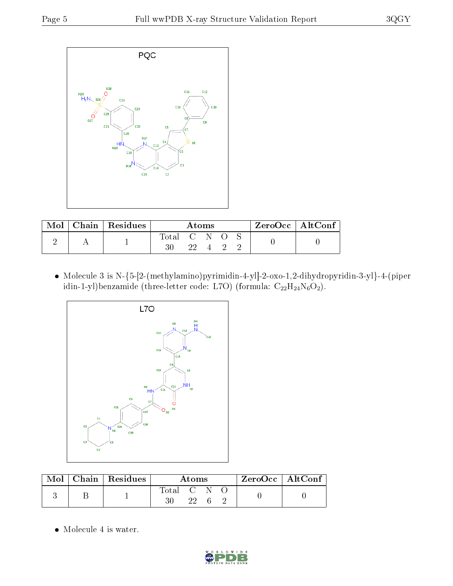

| Mol | Chain   Residues | Atoms           |      |  | $ZeroOcc$   AltConf |  |  |  |
|-----|------------------|-----------------|------|--|---------------------|--|--|--|
|     |                  | Total<br>$30\,$ | -99. |  |                     |  |  |  |

 $\bullet\,$  Molecule 3 is N-{5-[2-(methylamino)pyrimidin-4-yl]-2-oxo-1,2-dihydropyridin-3-yl}-4-(piper idin-1-yl)benzamide (three-letter code: L7O) (formula:  $C_{22}H_{24}N_6O_2$ ).



|  | Mol   Chain   Residues | Atoms       |    |  | $\rm ZeroOcc \mid AltConf$ |  |
|--|------------------------|-------------|----|--|----------------------------|--|
|  |                        | Total C N O | 22 |  |                            |  |

Molecule 4 is water.

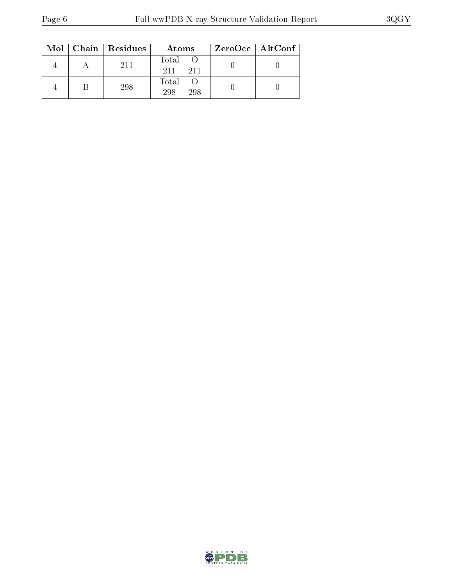|  | $Mol$   Chain   Residues | Atoms               | ZeroOcc   AltConf |
|--|--------------------------|---------------------|-------------------|
|  | 211                      | Total<br>211<br>211 |                   |
|  | 298                      | Total<br>298<br>298 |                   |

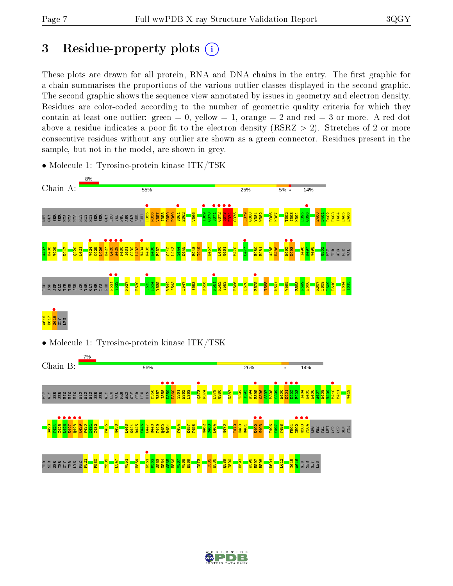# 3 Residue-property plots  $(i)$

These plots are drawn for all protein, RNA and DNA chains in the entry. The first graphic for a chain summarises the proportions of the various outlier classes displayed in the second graphic. The second graphic shows the sequence view annotated by issues in geometry and electron density. Residues are color-coded according to the number of geometric quality criteria for which they contain at least one outlier: green  $= 0$ , yellow  $= 1$ , orange  $= 2$  and red  $= 3$  or more. A red dot above a residue indicates a poor fit to the electron density (RSRZ  $> 2$ ). Stretches of 2 or more consecutive residues without any outlier are shown as a green connector. Residues present in the sample, but not in the model, are shown in grey.



• Molecule 1: Tyrosine-protein kinase ITK/TSK

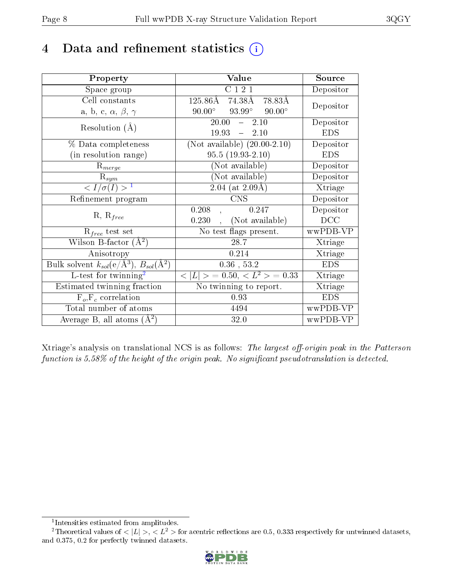# 4 Data and refinement statistics  $(i)$

| Property                                                             | Value                                           | Source     |
|----------------------------------------------------------------------|-------------------------------------------------|------------|
| Space group                                                          | C121                                            | Depositor  |
| Cell constants                                                       | $125.86\text{\AA}$<br>74.38Å<br>78.83Å          | Depositor  |
| a, b, c, $\alpha$ , $\beta$ , $\gamma$                               | $93.99^\circ$<br>$90.00^\circ$<br>$90.00^\circ$ |            |
| Resolution $(A)$                                                     | 20.00<br>2.10<br>$\frac{1}{2}$                  | Depositor  |
|                                                                      | $-2.10$<br>19.93                                | <b>EDS</b> |
| % Data completeness                                                  | (Not available) $(20.00-2.10)$                  | Depositor  |
| (in resolution range)                                                | $95.5(19.93-2.10)$                              | <b>EDS</b> |
| $R_{merge}$                                                          | (Not available)                                 | Depositor  |
| $\mathrm{R}_{sym}$                                                   | (Not available)                                 | Depositor  |
| $\sqrt{I/\sigma}(I) > 1$                                             | 2.04 (at $2.09\text{\AA}$ )                     | Xtriage    |
| Refinement program                                                   | <b>CNS</b>                                      | Depositor  |
| $R, R_{free}$                                                        | 0.208<br>0.247                                  | Depositor  |
|                                                                      | (Not available)<br>0.230                        | DCC        |
| $R_{free}$ test set                                                  | No test flags present.                          | wwPDB-VP   |
| Wilson B-factor $(A^2)$                                              | 28.7                                            | Xtriage    |
| Anisotropy                                                           | 0.214                                           | Xtriage    |
| Bulk solvent $k_{sol}(e/\mathring{A}^3)$ , $B_{sol}(\mathring{A}^2)$ | $0.36$ , 53.2                                   | <b>EDS</b> |
| L-test for twinning <sup>2</sup>                                     | $< L >$ = 0.50, $< L^2 >$ = 0.33                | Xtriage    |
| Estimated twinning fraction                                          | No twinning to report.                          | Xtriage    |
| $F_o, F_c$ correlation                                               | 0.93                                            | <b>EDS</b> |
| Total number of atoms                                                | 4494                                            | wwPDB-VP   |
| Average B, all atoms $(A^2)$                                         | 32.0                                            | wwPDB-VP   |

Xtriage's analysis on translational NCS is as follows: The largest off-origin peak in the Patterson function is  $5.58\%$  of the height of the origin peak. No significant pseudotranslation is detected.

<sup>&</sup>lt;sup>2</sup>Theoretical values of  $\langle |L| \rangle$ ,  $\langle L^2 \rangle$  for acentric reflections are 0.5, 0.333 respectively for untwinned datasets, and 0.375, 0.2 for perfectly twinned datasets.



<span id="page-7-1"></span><span id="page-7-0"></span><sup>1</sup> Intensities estimated from amplitudes.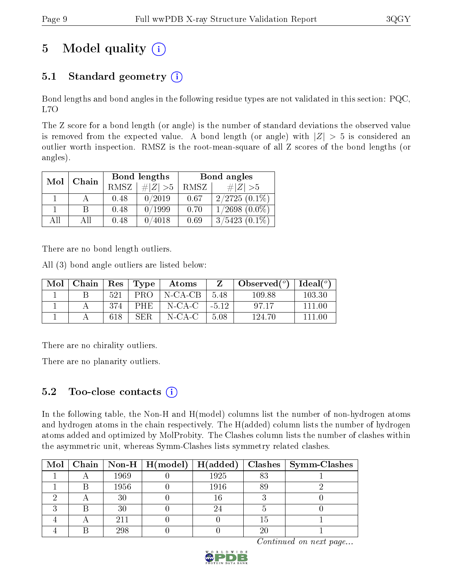# 5 Model quality  $(i)$

### 5.1 Standard geometry  $(i)$

Bond lengths and bond angles in the following residue types are not validated in this section: PQC, L7O

The Z score for a bond length (or angle) is the number of standard deviations the observed value is removed from the expected value. A bond length (or angle) with  $|Z| > 5$  is considered an outlier worth inspection. RMSZ is the root-mean-square of all Z scores of the bond lengths (or angles).

| Mol | Chain |             | Bond lengths | Bond angles |                    |  |
|-----|-------|-------------|--------------|-------------|--------------------|--|
|     |       | <b>RMSZ</b> | $\ Z\  > 5$  | RMSZ        | $\# Z  > 5$        |  |
|     |       | 0.48        | 0/2019       | 0.67        | $2/2725(0.1\%)$    |  |
|     | В     | 0.48        | 0/1999       | 0.70        | $1/2698$ $(0.0\%)$ |  |
| ΑH  | ΑH    | 0.48        | 0/4018       | 0.69        | $3/5423(0.1\%)$    |  |

There are no bond length outliers.

All (3) bond angle outliers are listed below:

| Mol | Chain |     |            | $\vert$ Res $\vert$ Type $\vert$ Atoms | Z      | $\mid$ Observed( $^o$ ) $\mid$ Ideal( $^o$ ) |         |
|-----|-------|-----|------------|----------------------------------------|--------|----------------------------------------------|---------|
|     |       | 521 |            | PRO $\vert$ N-CA-CB $\vert$ 5.48       |        | 109.88                                       | 103.30  |
|     |       | 374 | <b>PHE</b> | $\mid$ N-CA-C $\mid$ -5.12             |        | -97.17                                       | -111 00 |
|     |       | 618 | <b>SER</b> | N-CA-C                                 | - 5.08 | 124.70                                       | 111 OO  |

There are no chirality outliers.

There are no planarity outliers.

### 5.2 Too-close contacts  $(i)$

In the following table, the Non-H and H(model) columns list the number of non-hydrogen atoms and hydrogen atoms in the chain respectively. The H(added) column lists the number of hydrogen atoms added and optimized by MolProbity. The Clashes column lists the number of clashes within the asymmetric unit, whereas Symm-Clashes lists symmetry related clashes.

|  |      |      |    | $\textbf{Class} \mid \textbf{Symm-Class}$ |
|--|------|------|----|-------------------------------------------|
|  | 1969 | 1925 | 83 |                                           |
|  | 1956 | 1916 |    |                                           |
|  |      | 16   |    |                                           |
|  | 30   |      |    |                                           |
|  | 211  |      | 15 |                                           |
|  | 298  |      | 20 |                                           |

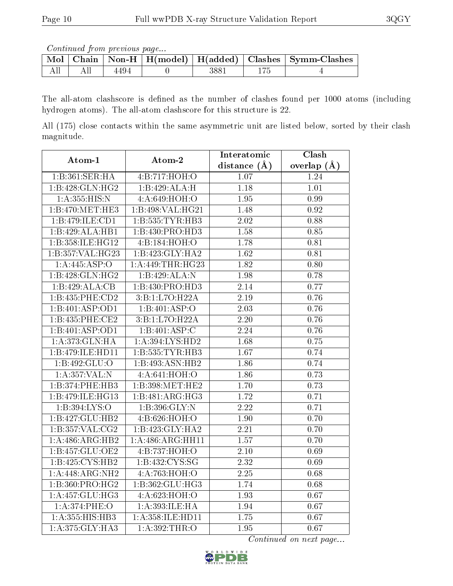Continued from previous page...

|  |      |      | Mol   Chain   Non-H   H(model)   H(added)   Clashes   Symm-Clashes |
|--|------|------|--------------------------------------------------------------------|
|  | 4494 | 3881 |                                                                    |

The all-atom clashscore is defined as the number of clashes found per 1000 atoms (including hydrogen atoms). The all-atom clashscore for this structure is 22.

All (175) close contacts within the same asymmetric unit are listed below, sorted by their clash magnitude.

| Atom-1                               | Atom-2              | Interatomic       | Clash             |
|--------------------------------------|---------------------|-------------------|-------------------|
|                                      |                     | distance $(A)$    | overlap $(A)$     |
| 1:B:361:SER:HA                       | 4:B:717:HOH:O       | 1.07              | 1.24              |
| 1:B:428:GLN:HG2                      | 1:B:429:ALA:H       | 1.18              | 1.01              |
| 1:A:355:HIS:N                        | 4:A:649:HOH:O       | 1.95              | 0.99              |
| 1:B:470:MET:HE3                      | 1:B:498:VAL:HG21    | 1.48              | 0.92              |
| 1:B:479:ILE:CD1                      | 1:B:535:TYR:HB3     | 2.02              | 0.88              |
| 1:B:429:ALA:HB1                      | 1:B:430:PRO:HD3     | 1.58              | 0.85              |
| $1:B:358:\overline{\text{ILE:HG12}}$ | 4:B:184:HOH:O       | 1.78              | 0.81              |
| 1:B:357:VAL:HG23                     | 1:B:423:GLY:HA2     | 1.62              | 0.81              |
| 1: A:445: ASP:O                      | 1:A:449:THR:HG23    | 1.82              | 0.80              |
| 1:B:428:GLN:HG2                      | 1:B:429:ALA:N       | 1.98              | 0.78              |
| 1:B:429:ALA:CB                       | 1:B:430:PRO:HD3     | 2.14              | 0.77              |
| 1:B:435:PHE:CD2                      | 3:B:1:L7O:H22A      | 2.19              | 0.76              |
| 1:B:401:ASP:OD1                      | 1:B:401:ASP:O       | 2.03              | 0.76              |
| 1:B:435:PHE:CE2                      | 3:B:1:L7O:H22A      | 2.20              | 0.76              |
| 1:B:401:ASP:OD1                      | 1:B:401:ASP:C       | 2.24              | 0.76              |
| 1:A:373:GLN:HA                       | $1:$ A:394:LYS:HD2  | 1.68              | 0.75              |
| 1:B:479:ILE:HD11                     | 1: B: 535: TYR: HB3 | 1.67              | 0.74              |
| 1:B:492:GLU:O                        | 1:B:493:ASN:HB2     | 1.86              | 0.74              |
| 1: A: 357: VAL: N                    | 4:A:641:HOH:O       | 1.86              | 0.73              |
| 1:B:374:PHE:HB3                      | 1:B:398:MET:HE2     | 1.70              | 0.73              |
| 1:B:479:ILE:HG13                     | 1:B:481:ARG:HG3     | 1.72              | 0.71              |
| 1:B:394:LYS:O                        | 1:B:396:GLY:N       | 2.22              | 0.71              |
| 1:B:427:GLU:HB2                      | 4:B:626:HOH:O       | 1.90              | 0.70              |
| 1:B:357:VAL:CG2                      | 1:B:423:GLY:HA2     | 2.21              | 0.70              |
| 1:A:486:ARG:HB2                      | 1:A:486:ARG:HH11    | 1.57              | 0.70              |
| 1:B:457:GLU:OE2                      | 4:B:737:HOH:O       | 2.10              | 0.69              |
| 1:B:425:CYS:HB2                      | 1:B:432:CYS:SG      | 2.32              | 0.69              |
| 1:A:448:ARG:NH2                      | 4:A:763:HOH:O       | $\overline{2.25}$ | 0.68              |
| 1:B:360:PRO:HG2                      | 1:B:362:GLU:HG3     | 1.74              | $\overline{0.68}$ |
| 1:A:457:GLU:HG3                      | 4:A:623:HOH:O       | 1.93              | 0.67              |
| 1: A:374:PHE:O                       | 1:A:393:ILE:HA      | 1.94              | 0.67              |
| 1:A:355:HIS:HB3                      | 1:A:358:ILE:HD11    | 1.75              | 0.67              |
| 1: A:375: GLY: HA3                   | 1:A:392:THR:O       | 1.95              | 0.67              |

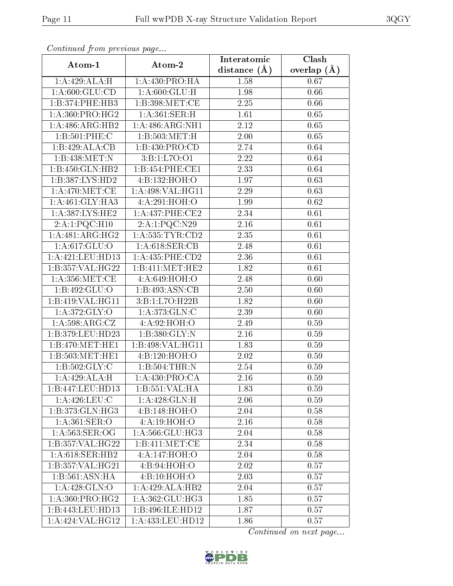| сонинией јтот ртеvиоиз раде | Interatomic       | Clash             |               |
|-----------------------------|-------------------|-------------------|---------------|
| Atom-1                      | Atom-2            | distance $(A)$    | overlap $(A)$ |
| 1:A:429:ALA:H               | 1:A:430:PRO:HA    | 1.58              | 0.67          |
| 1: A:600: GLU:CD            | 1: A:600: GLU: H  | <b>1.98</b>       | 0.66          |
| 1:B:374:PHE:HB3             | 1:B:398:MET:CE    | 2.25              | 0.66          |
| 1: A:360: PRO:HG2           | 1: A:361:SER:H    | 1.61              | 0.65          |
| 1: A:486:ARG:HB2            | 1: A:486:ARG:NH1  | 2.12              | 0.65          |
| 1:B:501:PHE:C               | 1: B:503:MET:H    | 2.00              | 0.65          |
| 1:B:429:ALA:CB              | 1:B:430:PRO:CD    | 2.74              | 0.64          |
| 1:B:438:MET:N               | 3:B:1:L7O:O1      | 2.22              | 0.64          |
| 1:B:450:GLN:HB2             | 1:B:454:PHE:CE1   | 2.33              | 0.64          |
| 1:B:387:LYS:HD2             | 4:B:132:HOH:O     | 1.97              | 0.63          |
| 1: A:470:MET:CE             | 1:A:498:VAL:HG11  | 2.29              | 0.63          |
| 1: A:461: GLY:HA3           | 4:A:291:HOH:O     | 1.99              | 0.62          |
| 1:A:387:LYS:HE2             | 1:A:437:PHE:CE2   | 2.34              | 0.61          |
| 2:A:1:PQC:H10               | 2:A:1:PQC:N29     | 2.16              | 0.61          |
| 1:A:481:ARG:HG2             | 1:A:535:TYR:CD2   | 2.35              | 0.61          |
| 1: A:617: GLU:O             | 1: A:618: SER:CB  | 2.48              | 0.61          |
| 1:A:421:LEU:HD13            | 1:A:435:PHE:CD2   | 2.36              | 0.61          |
| 1:B:357:VAL:HG22            | 1:B:411:MET:HE2   | 1.82              | 0.61          |
| 1: A: 356: MET:CE           | 4:A:649:HOH:O     | 2.48              | 0.60          |
| 1:B:492:GLU:O               | 1:B:493:ASN:CB    | 2.50              | 0.60          |
| 1:B:419:VAL:HG11            | 3:B:1:L7O:H22B    | 1.82              | 0.60          |
| 1: A:372: GLY:O             | 1:A:373:GLN:C     | 2.39              | 0.60          |
| 1:A:598:ARG:CZ              | 4:A:92:HOH:O      | 2.49              | 0.59          |
| 1:B:379:LEU:HD23            | 1:B:380:GLY:N     | 2.16              | 0.59          |
| 1:B:470:MET:HE1             | 1:B:498:VAL:HG11  | 1.83              | 0.59          |
| 1:B:503:MET:HE1             | 4:B:120:HOH:O     | $\overline{2}.02$ | 0.59          |
| 1:B:502:GLY:C               | 1:B:504:THR:N     | $\overline{2.54}$ | 0.59          |
| 1:A:429:ALA:H               | 1:A:430:PRO:CA    | 2.16              | 0.59          |
| 1:B:447:LEU:HD13            | 1:B:551:VAL:HA    | 1.83              | 0.59          |
| $1: A:426:$ LEU:C           | 1:A:428:GLN:H     | 2.06              | 0.59          |
| 1:B:373:GLN:HG3             | 4:Bi:148:HOH:O    | 2.04              | 0.58          |
| 1: A:361: SER:O             | 4: A:19: HOH:O    | $2.16\,$          | 0.58          |
| 1: A:563:SER:OG             | 1: A:566: GLU:HG3 | 2.04              | 0.58          |
| 1:B:357:VAL:HG22            | 1:B:411:MET:CF    | 2.34              | 0.58          |
| 1: A:618: SER: HB2          | 4:A:147:HOH:O     | 2.04              | 0.58          |
| 1:B:357:VAL:HG21            | 4:B:94:HOH:O      | 2.02              | 0.57          |
| 1:B:561:ASN:HA              | 4:Bi:10:HOH:O     | 2.03              | 0.57          |
| 1: A:428: GLN:O             | 1:A:429:ALA:HB2   | 2.04              | 0.57          |
| 1: A:360: PRO:HG2           | 1: A:362: GLU:HG3 | 1.85              | 0.57          |
| 1:B:443:LEU:HD13            | 1:B:496:ILE:HD12  | 1.87              | 0.57          |
| 1:A:424:VAL:HG12            | 1:A:433:LEU:HD12  | 1.86              | 0.57          |

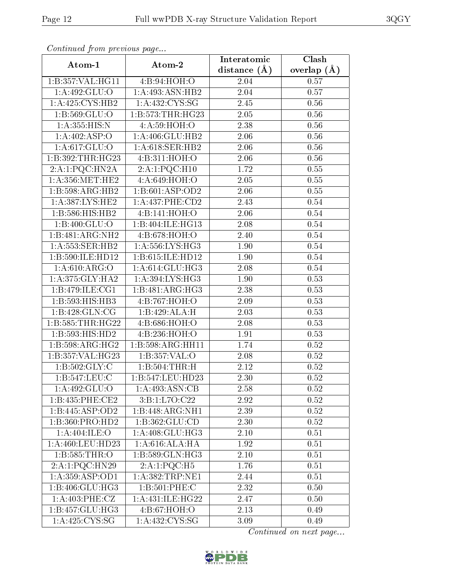| Communa from previous page  |                              | Interatomic       | Clash         |
|-----------------------------|------------------------------|-------------------|---------------|
| Atom-1                      | Atom-2                       | distance $(\AA)$  | overlap $(A)$ |
| 1:B:357:VAL:HG11            | 4:B:94:HOH:O                 | 2.04              | 0.57          |
| 1: A:492: GLU:O             | 1:A:493:ASN:HB2              | 2.04              | 0.57          |
| 1:A:425:CYS:HB2             | 1: A: 432: CYS: SG           | 2.45              | 0.56          |
| 1: B: 569: GLU: O           | 1:B:573:THR:HG23             | 2.05              | 0.56          |
| 1:A:355:HIS:N               | 4: A:59: HOH:O               | 2.38              | 0.56          |
| 1:A:402:ASP:O               | 1:A:406:GLU:HB2              | 2.06              | 0.56          |
| 1:A:617:GLU:O               | 1: A:618: SER: HB2           | 2.06              | $0.56\,$      |
| 1:B:392:THR:HG23            | 4:B:311:HOH:O                | 2.06              | 0.56          |
| 2:A:1:PQC:HN2A              | 2:A:1:PQC:H10                | 1.72              | 0.55          |
| 1: A:356:MET:HE2            | 4:A:649:HOH:O                | 2.05              | 0.55          |
| 1:B:598:ARG:HB2             | 1:B:601:ASP:OD2              | 2.06              | 0.55          |
| 1:A:387:LYS:HE2             | $1:A:437:PHE:\overline{CD2}$ | 2.43              | $0.54\,$      |
| 1:B:586:HIS:HB2             | 4:B:141:HOH:O                | 2.06              | 0.54          |
| 1:B:400:GLU:O               | 1:B:404:ILE:HG13             | 2.08              | $0.54\,$      |
| 1:B:481:ARG:NH2             | 4:B:678:HOH:O                | 2.40              | $0.54\,$      |
| 1: A:553: SER:HB2           | 1: A: 556: LYS: HG3          | 1.90              | 0.54          |
| 1:B:590:ILE:HD12            | 1:B:615:ILE:HD12             | 1.90              | 0.54          |
| 1: A:610: ARG:O             | 1: A:614: GLU: HG3           | 2.08              | 0.54          |
| 1: A:375: GLY:HA2           | 1: A:394: LYS: HG3           | 1.90              | 0.53          |
| 1: B: 479: ILE: CG1         | 1:B:481:ARG:HG3              | 2.38              | 0.53          |
| 1:B:593:HIS:HB3             | 4:B:767:HOH:O                | 2.09              | 0.53          |
| 1:B:428:GLN:CG              | 1:B:429:ALA:H                | 2.03              | 0.53          |
| 1:B:585:THR:HG22            | 4:B:686:HOH:O                | 2.08              | 0.53          |
| 1: B: 593: HIS: HD2         | 4:B:236:HOH:O                | 1.91              | 0.53          |
| 1:B:598:ARG:HG2             | 1:B:598:ARG:HH11             | 1.74              | 0.52          |
| 1:B:357:VAL:HG23            | 1:B:357:VAL:O                | 2.08              | $0.52\,$      |
| 1: B: 502: GLY: C           | 1:B:504:THR:H                | 2.12              | 0.52          |
| 1:B:547:LEU:C               | 1:B:547:LEU:HD23             | 2.30              | 0.52          |
| 1:A:492:GLU:O               | 1:A:493:ASN:CB               | 2.58              | 0.52          |
| 1:B:435:PHE:CE2             | 3:B:1:L7O:C22                | 2.92              | 0.52          |
| 1:B:445:ASP:OD2             | 1:B:448:ARG:NH1              | 2.39              | 0.52          |
| 1:B:360:PRO:H <sub>D2</sub> | 1:B:362:GLU:CD               | 2.30              | 0.52          |
| 1: A:404: ILE:O             | 1:A:408:GLU:HG3              | 2.10              | 0.51          |
| 1:A:460:LEU:HD23            | 1:A:616:ALA:HA               | 1.92              | 0.51          |
| 1:B:585:THR:O               | 1:B:589:GLN:HG3              | 2.10              | 0.51          |
| $2:A:1:P$ QC:HN29           | 2:A:1:PQC:H5                 | 1.76              | 0.51          |
| 1:A:359:ASP:OD1             | 1:A:382:TRP:NE1              | 2.44              | 0.51          |
| 1:B:406:GLU:HG3             | 1:B:501:PHE:C                | $\overline{2.32}$ | 0.50          |
| 1: A:403: PHE: CZ           | 1: A:431: ILE: HG22          | 2.47              | 0.50          |
| 1:B:457:GLU:HG3             | 4:B:67:HOH:O                 | 2.13              | 0.49          |
| 1:A:425:CYS:SG              | 1:A:432:CYS:SG               | $3.09\,$          | 0.49          |

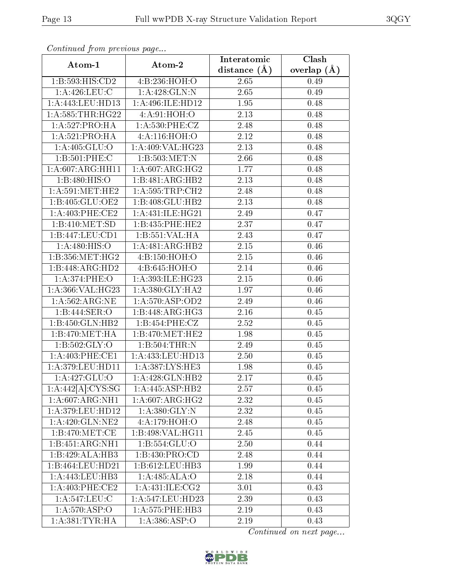| Contentaca promo provio ao pago | Atom-2                     | Interatomic       | Clash         |
|---------------------------------|----------------------------|-------------------|---------------|
| Atom-1                          |                            | distance $(A)$    | overlap $(A)$ |
| 1:B:593:HIS:CD2                 | 4:B:236:HOH:O              | 2.65              | 0.49          |
| 1: A:426:LEU:C                  | 1:A:428:GLN:N              | 2.65              | 0.49          |
| 1: A:443: LEU: HD13             | 1:A:496:ILE:HD12           | 1.95              | 0.48          |
| 1: A: 585: THR: HG22            | 4: A:91: HOH:O             | 2.13              | 0.48          |
| 1:A:527:PRO:HA                  | 1: A:530: PHE: CZ          | 2.48              | 0.48          |
| 1:A:521:PRO:HA                  | 4:A:116:HOH:O              | 2.12              | 0.48          |
| 1:A:405:GLU:O                   | 1:A:409:VAL:HG23           | 2.13              | 0.48          |
| 1:B:501:PHE:C                   | 1:B:503:MET:N              | 2.66              | 0.48          |
| 1:A:607:ARG:HH11                | 1: A:607: ARG: HG2         | 1.77              | 0.48          |
| 1: B:480: HIS:O                 | 1:B:481:ARG:HB2            | 2.13              | 0.48          |
| 1: A:591:MET:HE2                | 1: A:595:TRP:CH2           | 2.48              | 0.48          |
| 1:B:405:GLU:OE2                 | 1:B:408:GLU:HB2            | $\overline{2}.13$ | 0.48          |
| 1: A:403:PHE:CE2                | 1: A:431: ILE: HG21        | 2.49              | 0.47          |
| 1:B:410:MET:SD                  | 1:B:435:PHE:HE2            | 2.37              | 0.47          |
| 1:B:447:LEU:CD1                 | 1:B:551:VAL:HA             | 2.43              | 0.47          |
| 1: A:480: HIS:O                 | 1:A:481:ARG:HB2            | 2.15              | 0.46          |
| 1: B: 356: MET:HG2              | 4:B:150:HOH:O              | 2.15              | 0.46          |
| 1:B:448:ARG:HD2                 | 4:B:645:HOH:O              | 2.14              | 0.46          |
| 1: A:374: PHE:O                 | 1:A:393:ILE:HG23           | 2.15              | 0.46          |
| 1:A:366:VAL:HG23                | 1:A:380:GLY:HA2            | 1.97              | 0.46          |
| 1: A:562:ARG:NE                 | 1: A:570: ASP:OD2          | 2.49              | 0.46          |
| 1:B:444:SER:O                   | 1:B:448:ARG:HG3            | 2.16              | 0.45          |
| 1:B:450:GLN:HB2                 | 1:B:454:PHE:CZ             | 2.52              | 0.45          |
| 1:B:470:MET:HA                  | 1: B:470:MET:HE2           | 1.98              | 0.45          |
| 1: B: 502: GLY:O                | 1:B:504:THR:N              | 2.49              | 0.45          |
| 1: A:403:PHE:CE1                | 1: A: 433: LEU: HD13       | 2.50              | 0.45          |
| 1: A:379: LEU: HD11             | 1:A:387:LYS:HE3            | 1.98              | 0.45          |
| 1:A:427:GLU:O                   | 1:A:428:GLN:HB2            | 2.17              | 0.45          |
| 1:A:442[A]:CYS:SG               | 1:A:445:ASP:HB2            | 2.57              | 0.45          |
| 1:A:607:ARG:NH1                 | 1: A:607: ARG:HG2          | 2.32              | 0.45          |
| 1:A:379:LEU:HD12                | 1: A:380: GLY:N            | 2.32              | 0.45          |
| 1: A:420: GLN: NE2              | 4:A:179:HOH:O              | 2.48              | 0.45          |
| 1: B:470:MET:CE                 | 1:B:498:VAL:HG11           | 2.45              | 0.45          |
| 1:B:451:ARG:NH1                 | 1: B: 554: GLU: O          | 2.50              | 0.44          |
| 1:B:429:ALA:HB3                 | 1:B:430:PRO:CD             | 2.48              | 0.44          |
| 1:B:464:LEU:HD21                | 1:B:612:LEU:HB3            | 1.99              | 0.44          |
| 1: A: 443: LEU: HB3             | $1:A:485:ALA:\overline{O}$ | 2.18              | 0.44          |
| 1: A:403:PHE:CE2                | 1: A: 431: ILE: CG2        | 3.01              | 0.43          |
| 1:A:547:LEU:C                   | 1: A:547:LEU:HD23          | 2.39              | 0.43          |
| $1:A:570.\overline{ASP:O}$      | 1:A:575:PHE:HB3            | 2.19              | 0.43          |
| 1: A: 381: TYR: HA              | $1:\overline{A:386:ASP:O}$ | 2.19              | 0.43          |

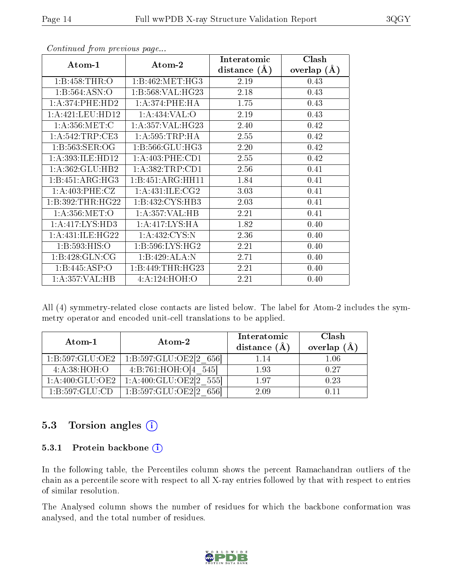|                      |                      | Interatomic    | Clash         |
|----------------------|----------------------|----------------|---------------|
| Atom-1               | Atom-2               | distance $(A)$ | overlap $(A)$ |
| 1:B:458:THR:O        | 1:B:462:MET:HG3      | 2.19           | 0.43          |
| 1:B:564:ASN:O        | 1:B:568:VAL:HG23     | 2.18           | 0.43          |
| 1: A:374: PHE:HD2    | 1:A:374:PHE:HA       | 1.75           | 0.43          |
| 1:A:421:LEU:HD12     | 1: A:434: VAL:O      | 2.19           | 0.43          |
| 1: A: 356: MET: C    | 1: A: 357: VAL: HG23 | 2.40           | 0.42          |
| 1:A:542:TRP:CE3      | 1: A:595:TRP:HA      | 2.55           | 0.42          |
| 1:B:563:SER:OG       | 1: B: 566: GLU: HG3  | 2.20           | 0.42          |
| 1:A:393:ILE:HD12     | 1: A:403:PHE:CD1     | 2.55           | 0.42          |
| 1: A:362: GLU:HB2    | 1:A:382:TRP:CD1      | 2.56           | 0.41          |
| 1:B:451:ARG:HG3      | 1:B:451:ARG:HH11     | 1.84           | 0.41          |
| 1:A:403:PHE:CZ       | 1: A: 431: ILE: CG2  | 3.03           | 0.41          |
| 1:B:392:THR:HG22     | 1:B:432:CYS:HB3      | 2.03           | 0.41          |
| 1: A:356: MET:O      | 1:A:357:VAL:HB       | 2.21           | 0.41          |
| 1: A: 417: LYS: HD3  | 1:A:417:LYS:HA       | 1.82           | 0.40          |
| 1: A: 431: ILE: HG22 | 1:A:432:CYS:N        | 2.36           | 0.40          |
| 1:B:593:HIS:O        | 1: B:596: LYS: HG2   | 2.21           | 0.40          |
| 1:B:428:GLN:CG       | 1:B:429:ALA:N        | 2.71           | 0.40          |
| 1:B:445:ASP:O        | 1:B:449:THR:HG23     | 2.21           | 0.40          |
| 1:A:357:VAL:HB       | 4:A:124:HOH:O        | 2.21           | 0.40          |

All (4) symmetry-related close contacts are listed below. The label for Atom-2 includes the symmetry operator and encoded unit-cell translations to be applied.

| Atom-1              | Atom-2                               | Interatomic<br>distance (A | Clash<br>overlap $(\AA)$ |
|---------------------|--------------------------------------|----------------------------|--------------------------|
| 1: B: 597: GLU: OE2 | 1:B:597:GLU:OE2[2 656]               | 1.14                       | $1.06\,$                 |
| 4: A:38: HOH:O      | 4:B:761:HOH:O[4 545]                 | 1.93                       | 0.27                     |
| 1: A:400: GLU:OE2   | $1:\!A:\!400:\!GLU:\!OE2[2]$<br>5551 | 197                        | 0.23                     |
| 1:B:597:GLU:CD      | 1:B:597:GLU:OE2[2]                   | 2.09                       |                          |

#### 5.3 Torsion angles (i)

#### 5.3.1 Protein backbone (i)

In the following table, the Percentiles column shows the percent Ramachandran outliers of the chain as a percentile score with respect to all X-ray entries followed by that with respect to entries of similar resolution.

The Analysed column shows the number of residues for which the backbone conformation was analysed, and the total number of residues.

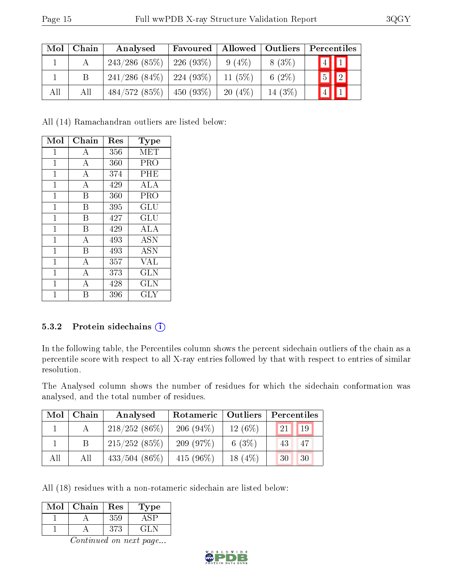| Mol | Chain | Analysed                      | Favoured     | Allowed   Outliers |           | Percentiles                  |
|-----|-------|-------------------------------|--------------|--------------------|-----------|------------------------------|
|     |       | 243/286(85%)                  | $226(93\%)$  | $9(4\%)$           | $8(3\%)$  | $\sqrt{4}$ 1                 |
|     | B     | $241/286$ (84\%)   224 (93\%) |              | 11 $(5%)$          | 6 $(2\%)$ | $\sqrt{2}$<br>$\overline{5}$ |
| All | All   | 484/572(85%)                  | $-450(93\%)$ | 20(4%)             | 14 $(3%)$ | $\boxed{4}$ $\boxed{1}$      |

All (14) Ramachandran outliers are listed below:

| Mol          | Chain | Res | Type       |
|--------------|-------|-----|------------|
| 1            | А     | 356 | MET        |
| 1            | A     | 360 | PRO        |
| $\mathbf{1}$ | А     | 374 | PHE        |
| 1            | A     | 429 | ALA        |
| $\mathbf{1}$ | B     | 360 | PRO        |
| 1            | B     | 395 | GLU        |
| 1            | В     | 427 | GLU        |
| 1            | B     | 429 | ALA        |
| 1            | А     | 493 | <b>ASN</b> |
| 1            | B     | 493 | ASN        |
| $\mathbf{1}$ | А     | 357 | VAL        |
| 1            | А     | 373 | GLN        |
| 1            | А     | 428 | GLN        |
| 1            | В     | 396 | $\rm GLY$  |

#### 5.3.2 Protein sidechains (i)

In the following table, the Percentiles column shows the percent sidechain outliers of the chain as a percentile score with respect to all X-ray entries followed by that with respect to entries of similar resolution.

The Analysed column shows the number of residues for which the sidechain conformation was analysed, and the total number of residues.

| Mol | Chain | Analysed         | Rotameric    | Outliers  | Percentiles |
|-----|-------|------------------|--------------|-----------|-------------|
|     |       | $218/252(86\%)$  | 206 $(94\%)$ | $12(6\%)$ | 19<br>21    |
|     |       | 215/252(85%)     | 209(97%)     | 6 $(3%)$  | -47<br>43   |
| All | All   | $433/504$ (86\%) | 415 $(96\%)$ | 18 $(4%)$ | 30<br>30    |

All (18) residues with a non-rotameric sidechain are listed below:

| $\operatorname{Mol}$ | Chain | Res | Type   |
|----------------------|-------|-----|--------|
|                      |       | 359 |        |
|                      |       | 373 | ن الجي |

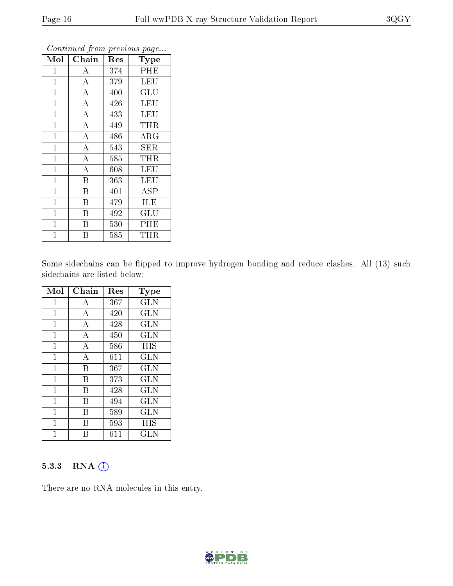| Mol          | Chain                   | Res | <b>Type</b> |
|--------------|-------------------------|-----|-------------|
| 1            | A                       | 374 | PHE         |
| $\mathbf{1}$ | $\bf{A}$                | 379 | <b>LEU</b>  |
| $\mathbf{1}$ | $\overline{A}$          | 400 | GLU         |
| $\mathbf{1}$ | $\bf{A}$                | 426 | <b>LEU</b>  |
| $\mathbf{1}$ | $\overline{\rm A}$      | 433 | LEU         |
| $\mathbf{1}$ | $\bf{A}$                | 449 | THR         |
| $\mathbf{1}$ | $\overline{\rm A}$      | 486 | $\rm{ARG}$  |
| $\mathbf{1}$ | $\overline{A}$          | 543 | <b>SER</b>  |
| $\mathbf{1}$ | $\overline{\rm A}$      | 585 | <b>THR</b>  |
| $\mathbf{1}$ | $\overline{\rm A}$      | 608 | LEU         |
| $\mathbf{1}$ | B                       | 363 | <b>LEU</b>  |
| $\mathbf{1}$ | $\overline{\mathrm{B}}$ | 401 | <b>ASP</b>  |
| $\mathbf{1}$ | B                       | 479 | ILE         |
| $\mathbf{1}$ | $\overline{B}$          | 492 | GLU         |
| $\mathbf{1}$ | B                       | 530 | PHE         |
| $\mathbf 1$  | Β                       | 585 | THR         |

Some sidechains can be flipped to improve hydrogen bonding and reduce clashes. All (13) such sidechains are listed below:

| Mol          | Chain          | Res | <b>Type</b>  |
|--------------|----------------|-----|--------------|
| 1            | А              | 367 | <b>GLN</b>   |
| $\mathbf{1}$ | A              | 420 | <b>GLN</b>   |
| 1            | А              | 428 | <b>GLN</b>   |
| 1            | $\overline{A}$ | 450 | <b>GLN</b>   |
| 1            | А              | 586 | HIS          |
| 1            | $\overline{A}$ | 611 | <b>GLN</b>   |
| $\mathbf 1$  | B              | 367 | <b>GLN</b>   |
| 1            | В              | 373 | GLN          |
| 1            | В              | 428 | <b>GLN</b>   |
| 1            | В              | 494 | <b>GLN</b>   |
| 1            | R              | 589 | GLN          |
| 1            | В              | 593 | HIS          |
|              |                | 611 | $_{\rm GLN}$ |

#### 5.3.3 RNA (1)

There are no RNA molecules in this entry.

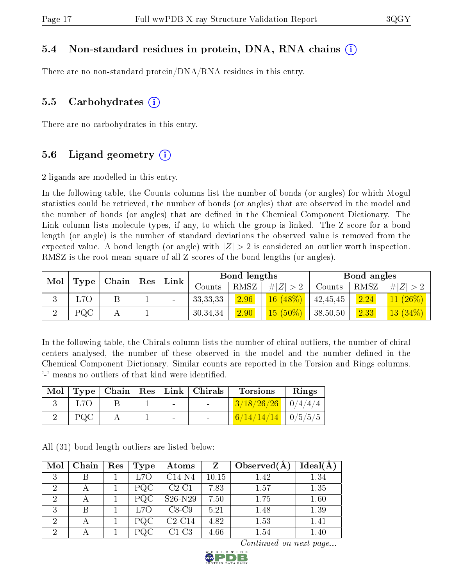#### 5.4 Non-standard residues in protein, DNA, RNA chains (i)

There are no non-standard protein/DNA/RNA residues in this entry.

#### 5.5 Carbohydrates  $(i)$

There are no carbohydrates in this entry.

### 5.6 Ligand geometry  $(i)$

2 ligands are modelled in this entry.

In the following table, the Counts columns list the number of bonds (or angles) for which Mogul statistics could be retrieved, the number of bonds (or angles) that are observed in the model and the number of bonds (or angles) that are dened in the Chemical Component Dictionary. The Link column lists molecule types, if any, to which the group is linked. The Z score for a bond length (or angle) is the number of standard deviations the observed value is removed from the expected value. A bond length (or angle) with  $|Z| > 2$  is considered an outlier worth inspection. RMSZ is the root-mean-square of all Z scores of the bond lengths (or angles).

| Mol |                  | Chain | Res | Link                     |            | Bond lengths |             |          | Bond angles |            |
|-----|------------------|-------|-----|--------------------------|------------|--------------|-------------|----------|-------------|------------|
|     | Type             |       |     |                          | Counts     | RMSZ         | $\# Z  > 2$ | Counts   | RMSZ        | Z          |
|     | L <sub>7</sub> O |       |     | $\overline{\phantom{a}}$ | 33, 33, 33 | 2.96         | 16(48%)     | 42,45,45 | 2.24        | (1 (26%)   |
|     | $_{\rm PQC}$     |       |     | $\qquad \qquad$          | 30,34,34   | 2.90         | $15(50\%)$  | 38,50,50 | 2.33        | $13(34\%)$ |

In the following table, the Chirals column lists the number of chiral outliers, the number of chiral centers analysed, the number of these observed in the model and the number defined in the Chemical Component Dictionary. Similar counts are reported in the Torsion and Rings columns. '-' means no outliers of that kind were identified.

| Mol |     |  |                | Type   Chain   Res   Link   Chirals | <b>Torsions</b>        | Rings |
|-----|-----|--|----------------|-------------------------------------|------------------------|-------|
|     |     |  | $\blacksquare$ | $\sim$                              | $3/18/26/26$   0/4/4/4 |       |
|     | PQC |  | $\sim$         | <b>Contract Contract</b>            | $6/14/14/14$ $0/5/5/5$ |       |

All (31) bond length outliers are listed below:

| Mol            | Chain | Res | Type             | Atoms    | $Z_{\rm}$ | Observed $(A)$ | Ideal(A) |
|----------------|-------|-----|------------------|----------|-----------|----------------|----------|
| 3              |       |     | L7O              | $C14-N4$ | 10.15     | 1.42           | 1.34     |
| $\overline{2}$ |       |     | PQC              | $C2-C1$  | 7.83      | 1.57           | 1.35     |
| $\overline{2}$ |       |     | PQC              | S26-N29  | 7.50      | 1.75           | 1.60     |
| 3              |       |     | L <sub>7</sub> O | $C8-C9$  | 5.21      | 1.48           | 1.39     |
| $\overline{2}$ |       |     | PQC              | $C2-C14$ | 4.82      | 1.53           | 1.41     |
| $\overline{2}$ |       |     | PQC              | $C1-C3$  | 4.66      | 1.54           | 1.40     |

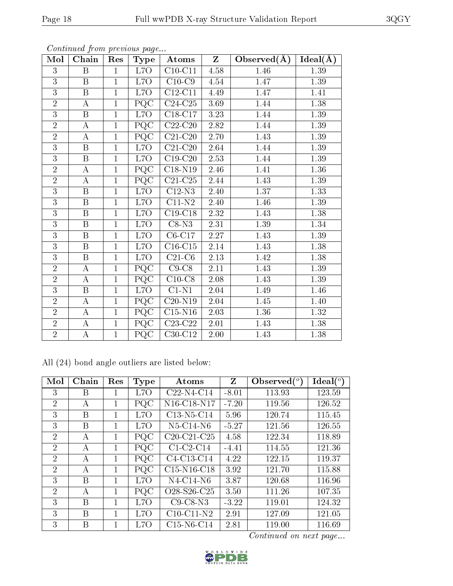| Mol            | Chain                   | Res            | $_{\rm Type}$             | Atoms                        | $Z_{\parallel}$ | Observed $(A)$ | Ideal(A) |
|----------------|-------------------------|----------------|---------------------------|------------------------------|-----------------|----------------|----------|
| 3              | B                       | $\mathbf{1}$   | L7O                       | $\overline{\text{C10-C1}}$ 1 | $4.58\,$        | 1.46           | 1.39     |
| 3              | $\, {\bf B}$            | $\mathbf{1}$   | L7O                       | $C10-C9$                     | 4.54            | 1.47           | 1.39     |
| $\overline{3}$ | $\overline{\mathrm{B}}$ | $\overline{1}$ | L70                       | $\overline{\text{C12-C11}}$  | 4.49            | 1.47           | 1.41     |
| $\overline{2}$ | $\boldsymbol{A}$        | $\mathbf{1}$   | PQC                       | $C24-C25$                    | 3.69            | 1.44           | $1.38\,$ |
| 3              | $\, {\bf B}$            | $\mathbf 1$    | L7O                       | $C18-C17$                    | $3.23\,$        | 1.44           | 1.39     |
| $\overline{2}$ | А                       | $\mathbf{1}$   | PQC                       | $C22-C20$                    | $2.82\,$        | 1.44           | 1.39     |
| $\overline{2}$ | $\boldsymbol{A}$        | $\mathbf{1}$   | PQC                       | $C21-C20$                    | 2.70            | 1.43           | 1.39     |
| $\overline{3}$ | $\, {\bf B}$            | $\mathbf{1}$   | L7O                       | $C21-C20$                    | 2.64            | 1.44           | 1.39     |
| 3              | $\overline{\mathbf{B}}$ | $\overline{1}$ | L7O                       | $C19-C20$                    | 2.53            | 1.44           | 1.39     |
| $\overline{2}$ | $\overline{A}$          | $\overline{1}$ | $\overline{PQC}$          | $\overline{\text{C18-N19}}$  | 2.46            | 1.41           | 1.36     |
| $\overline{2}$ | $\overline{\rm A}$      | $\overline{1}$ | $\overline{PQC}$          | $C21-C25$                    | 2.44            | 1.43           | $1.39\,$ |
| 3              | $\, {\bf B}$            | $\mathbf{1}$   | L7O                       | $\overline{C12-N3}$          | 2.40            | 1.37           | 1.33     |
| $\overline{3}$ | $\, {\bf B}$            | $\mathbf{1}$   | L7O                       | $C11-N2$                     | 2.40            | 1.46           | 1.39     |
| 3              | $\, {\bf B}$            | $\mathbf{1}$   | L7O                       | $C19-C18$                    | 2.32            | 1.43           | 1.38     |
| $\overline{3}$ | $\overline{\mathrm{B}}$ | $\mathbf{1}$   | L7O                       | $C8-N3$                      | 2.31            | 1.39           | 1.34     |
| 3              | $\, {\bf B}$            | $\mathbf{1}$   | L7O                       | $C6-C17$                     | $2.27\,$        | 1.43           | 1.39     |
| 3              | $\, {\bf B}$            | $\mathbf{1}$   | L7O                       | $C16-C15$                    | $2.14\,$        | 1.43           | 1.38     |
| $\overline{3}$ | $\overline{\mathbf{B}}$ | $\mathbf{1}$   | L7O                       | $C21-C6$                     | $2.13\,$        | 1.42           | $1.38\,$ |
| $\overline{2}$ | $\boldsymbol{A}$        | $\mathbf{1}$   | PQC                       | $C9-C8$                      | $2.11\,$        | 1.43           | 1.39     |
| $\overline{2}$ | $\overline{A}$          | $\mathbf{1}$   | $\overline{\mathrm{PQC}}$ | $C10-C8$                     | 2.08            | 1.43           | 1.39     |
| 3              | $\mathbf B$             | $\mathbf{1}$   | L7O                       | $C1-N1$                      | $2.04\,$        | 1.49           | 1.46     |
| $\overline{2}$ | $\bf{A}$                | $\mathbf{1}$   | PQC                       | $C20-N19$                    | $2.04\,$        | 1.45           | 1.40     |
| $\overline{2}$ | $\bf{A}$                | $\mathbf{1}$   | PQC                       | $C15-N16$                    | 2.03            | 1.36           | 1.32     |
| $\overline{2}$ | $\mathbf{A}$            | $\mathbf{1}$   | PQC                       | $C23-C22$                    | 2.01            | 1.43           | 1.38     |
| $\overline{2}$ | $\overline{A}$          | $\mathbf{1}$   | PQC                       | $C30-C12$                    | $2.00\,$        | 1.43           | 1.38     |

All (24) bond angle outliers are listed below:

| Mol            | Chain | Res         | Type             | Atoms                                             | Z       | Observed $(°)$ | $\text{Ideal}({}^o)$ |
|----------------|-------|-------------|------------------|---------------------------------------------------|---------|----------------|----------------------|
| 3              | В     |             | L7O              | $C22-N4-C14$                                      | $-8.01$ | 113.93         | 123.59               |
| 2              | А     | 1           | PQC              | N16-C18-N17                                       | $-7.20$ | 119.56         | 126.52               |
| 3              | В     | 1           | L <sub>7</sub> O | $C13-N5-C14$                                      | 5.96    | 120.74         | 115.45               |
| 3              | B     | 1           | L7O              | $N5$ -C14-N6                                      | $-5.27$ | 121.56         | 126.55               |
| $\overline{2}$ | A     | 1           | PQC              | $C20-C21-C25$                                     | 4.58    | 122.34         | 118.89               |
| $\overline{2}$ | A     | 1           | PQC              | $C1-C2-C14$                                       | $-4.41$ | 114.55         | 121.36               |
| $\overline{2}$ | A     | 1           | PQC              | C4-C13-C14                                        | 4.22    | 122.15         | 119.37               |
| 2              | А     | 1           | PQC              | $C15-N16-C18$                                     | 3.92    | 121.70         | 115.88               |
| 3              | B     | 1           | L7O              | $N4$ -C14-N6                                      | 3.87    | 120.68         | 116.96               |
| $\overline{2}$ | A     | 1           | PQC              | O <sub>28</sub> -S <sub>26</sub> -C <sub>25</sub> | 3.50    | 111.26         | 107.35               |
| 3              | B     | 1           | L <sub>7</sub> O | $C9$ -C8-N3                                       | $-3.22$ | 119.01         | 124.32               |
| 3              | B     | 1           | L7O              | $C10-C11-N2$                                      | 2.91    | 127.09         | 121.05               |
| 3              | B     | $\mathbf 1$ | L <sub>7</sub> O | $C15-N6-C14$                                      | 2.81    | 119.00         | 116.69               |

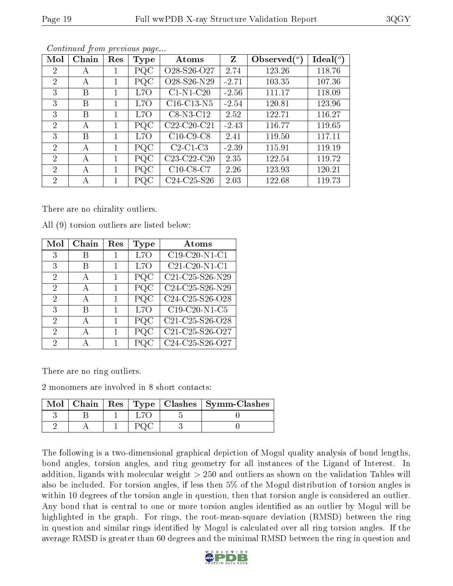|--|--|

| Mol            | Chain | Res | Type      | Atoms                                             | Z       | Observed $(°)$ | $\text{Ideal}({}^o)$ |
|----------------|-------|-----|-----------|---------------------------------------------------|---------|----------------|----------------------|
| 2              | А     |     | PQC       | O <sub>28</sub> -S <sub>26</sub> -O <sub>27</sub> | 2.74    | 123.26         | 118.76               |
| 2              | А     |     | PQC       | O28-S26-N29                                       | $-2.71$ | 103.35         | 107.36               |
| 3              | В     |     | L7O       | $C1-N1-C20$                                       | $-2.56$ | 111.17         | 118.09               |
| 3              | В     |     | L7O       | $C16-C13-N5$                                      | $-2.54$ | 120.81         | 123.96               |
| 3              | В     |     | L7O       | $C8-N3-C12$                                       | 2.52    | 122.71         | 116.27               |
| 2              | А     | 1   | PQC       | $C22-C20-C21$                                     | $-2.43$ | 116.77         | 119.65               |
| 3              | B     | 1   | L7O       | $C10$ -C9-C8                                      | 2.41    | 119.50         | 117.11               |
| $\overline{2}$ | А     | 1   | PQC       | $C2-C1-C3$                                        | $-2.39$ | 115.91         | 119.19               |
| $\overline{2}$ | А     | 1.  | PQC       | $C23-C22-C20$                                     | 2.35    | 122.54         | 119.72               |
| $\overline{2}$ | А     | 1.  | PQC       | $C10-C8-C7$                                       | 2.26    | 123.93         | 120.21               |
| $\overline{2}$ | А     |     | $\rm PQC$ | $C24-C25-S26$                                     | 2.03    | 122.68         | 119.73               |

There are no chirality outliers.

All (9) torsion outliers are listed below:

| $\operatorname{Mol}$ | Chain | $\operatorname{Res}% \left( \mathcal{N}\right) \equiv\operatorname{Res}(\mathcal{N}_{0},\mathcal{N}_{0})$ | Type             | Atoms                                                                      |
|----------------------|-------|-----------------------------------------------------------------------------------------------------------|------------------|----------------------------------------------------------------------------|
| 3                    |       |                                                                                                           | L <sub>7</sub> O | $C19-C20-N1-C1$                                                            |
| 3                    | В     |                                                                                                           | L7O              | $C21-C20-N1-C1$                                                            |
| 2                    | А     | 1                                                                                                         | PQC              | C21-C25-S26-N29                                                            |
| 2                    | А     | 1                                                                                                         | РQС              | $\overline{\text{C24}}$ -C <sub>25</sub> -S <sub>26</sub> -N <sub>29</sub> |
| 2                    | А     | 1                                                                                                         | PQC              | C24-C25-S26-O28                                                            |
| 3                    | R     | 1                                                                                                         | L7O              | $\overline{C19-C20}$ -N1-C5                                                |
| 2                    | А     | 1                                                                                                         | PQC              | C21-C25-S26-O28                                                            |
| 2                    | А     | 1                                                                                                         | PQC              | C21-C25-S26-O27                                                            |
| 2                    |       | 1                                                                                                         |                  | $\overline{\text{C2}}$ 4-C25-S26-O27                                       |

There are no ring outliers.

2 monomers are involved in 8 short contacts:

| Mol |  |  | Chain   Res   Type   Clashes   Symm-Clashes |
|-----|--|--|---------------------------------------------|
|     |  |  |                                             |
|     |  |  |                                             |

The following is a two-dimensional graphical depiction of Mogul quality analysis of bond lengths, bond angles, torsion angles, and ring geometry for all instances of the Ligand of Interest. In addition, ligands with molecular weight > 250 and outliers as shown on the validation Tables will also be included. For torsion angles, if less then 5% of the Mogul distribution of torsion angles is within 10 degrees of the torsion angle in question, then that torsion angle is considered an outlier. Any bond that is central to one or more torsion angles identified as an outlier by Mogul will be highlighted in the graph. For rings, the root-mean-square deviation (RMSD) between the ring in question and similar rings identified by Mogul is calculated over all ring torsion angles. If the average RMSD is greater than 60 degrees and the minimal RMSD between the ring in question and

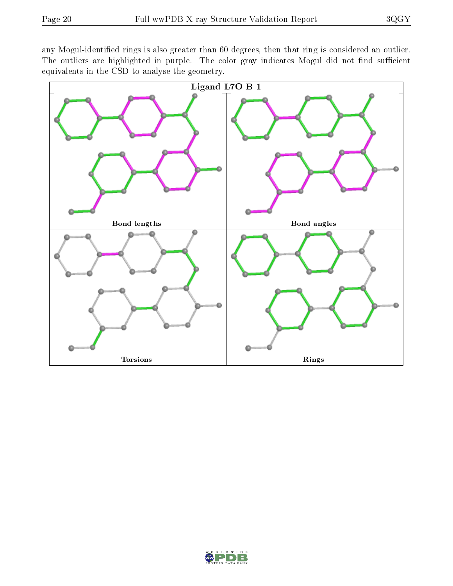any Mogul-identified rings is also greater than 60 degrees, then that ring is considered an outlier. The outliers are highlighted in purple. The color gray indicates Mogul did not find sufficient equivalents in the CSD to analyse the geometry.



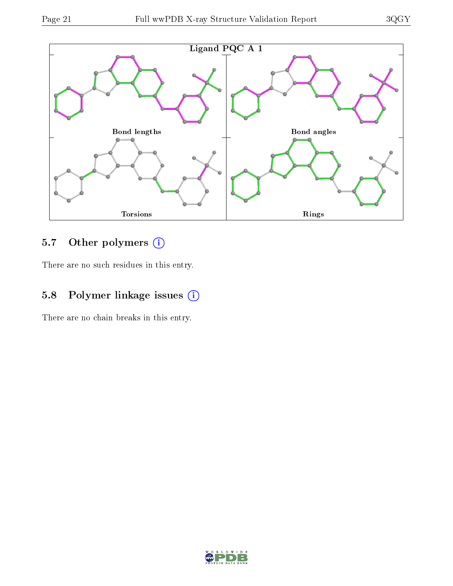

### 5.7 [O](https://www.wwpdb.org/validation/2017/XrayValidationReportHelp#nonstandard_residues_and_ligands)ther polymers (i)

There are no such residues in this entry.

### 5.8 Polymer linkage issues (i)

There are no chain breaks in this entry.

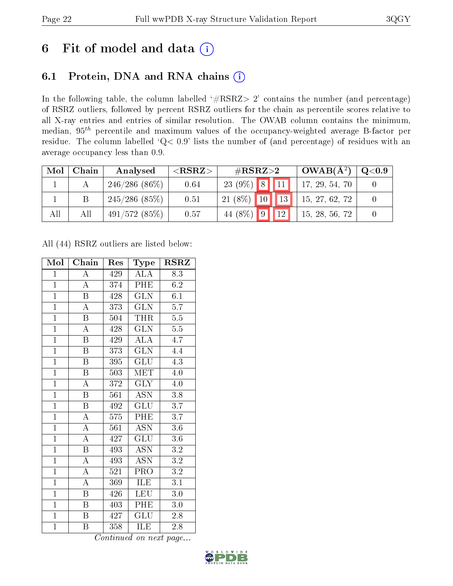# 6 Fit of model and data  $(i)$

### 6.1 Protein, DNA and RNA chains  $(i)$

In the following table, the column labelled  $#RSRZ> 2'$  contains the number (and percentage) of RSRZ outliers, followed by percent RSRZ outliers for the chain as percentile scores relative to all X-ray entries and entries of similar resolution. The OWAB column contains the minimum, median,  $95<sup>th</sup>$  percentile and maximum values of the occupancy-weighted average B-factor per residue. The column labelled ' $Q< 0.9$ ' lists the number of (and percentage) of residues with an average occupancy less than 0.9.

| Mol | Chain | Analysed        | ${ <\hspace{-1.5pt}{\mathrm{RSRZ}} \hspace{-1.5pt}>}$ | # $RSRZ>2$               | $OWAB(A^2)$    | $\rm{Q}\textcolor{black}{<}0.9$ |
|-----|-------|-----------------|-------------------------------------------------------|--------------------------|----------------|---------------------------------|
|     |       | $246/286(86\%)$ | 0.64                                                  | $23(9\%)$ 8 11           | 17, 29, 54, 70 |                                 |
|     |       | $245/286$ (85%) | 0.51                                                  | $21(8\%)$ 10 13          | 15, 27, 62, 72 |                                 |
| All | All   | 491/572(85%)    | 0.57                                                  | 44 (8%) $9 \mid 12 \mid$ | 15, 28, 56, 72 |                                 |

All (44) RSRZ outliers are listed below:

| Mol            | Chain                   | Res | Type                      | <b>RSRZ</b>      |
|----------------|-------------------------|-----|---------------------------|------------------|
| $\mathbf{1}$   | $\overline{\rm A}$      | 429 | ALA                       | 8.3              |
| $\mathbf{1}$   | $\overline{\rm A}$      | 374 | PHE                       | 6.2              |
| $\overline{1}$ | B                       | 428 | <b>GLN</b>                | 6.1              |
| $\overline{1}$ | $\overline{\rm A}$      | 373 | <b>GLN</b>                | $\overline{5.7}$ |
| $\overline{1}$ | $\overline{\mathrm{B}}$ | 504 | THR                       | $\overline{5.5}$ |
| $\overline{1}$ | $\overline{\rm A}$      | 428 | $\overline{\text{GLN}}$   | 5.5              |
| $\overline{1}$ | $\boldsymbol{B}$        | 429 | <b>ALA</b>                | 4.7              |
| $\overline{1}$ | $\boldsymbol{B}$        | 373 | GLN                       | 4.4              |
| $\overline{1}$ | $\overline{\mathrm{B}}$ | 395 | <b>GLU</b>                | 4.3              |
| $\overline{1}$ | $\overline{\mathrm{B}}$ | 503 | $\rm \overline{MET}$      | 4.0              |
| $\overline{1}$ | $\overline{\rm A}$      | 372 | <b>GLY</b>                | 4.0              |
| $\overline{1}$ | $\overline{\mathrm{B}}$ | 561 | $\overline{\mathrm{ASN}}$ | 3.8              |
| $\overline{1}$ | $\overline{B}$          | 492 | GLU                       | 3.7              |
| $\overline{1}$ | $\overline{\rm A}$      | 575 | PHE                       | 3.7              |
| $\overline{1}$ | $\overline{\rm A}$      | 561 | $\overline{\mathrm{ASN}}$ | $\overline{3.6}$ |
| $\mathbf{1}$   | $\overline{\rm A}$      | 427 | GLU                       | 3.6              |
| $\overline{1}$ | $\overline{\mathrm{B}}$ | 493 | $\overline{\mathrm{ASN}}$ | $\overline{3.2}$ |
| $\mathbf{1}$   | A                       | 493 | <b>ASN</b>                | $\overline{3.2}$ |
| $\overline{1}$ | $\boldsymbol{A}$        | 521 | PRO                       | $\overline{3.2}$ |
| $\overline{1}$ | $\overline{\rm A}$      | 369 | <b>ILE</b>                | 3.1              |
| $\mathbf{1}$   | $\overline{B}$          | 426 | <b>LEU</b>                | 3.0              |
| $\mathbf{1}$   | $\boldsymbol{B}$        | 403 | PHE                       | 3.0              |
| $\overline{1}$ | $\boldsymbol{B}$        | 427 | GLU                       | $2.8\,$          |
| $\mathbf{1}$   | B                       | 358 | ILE                       | 2.8              |

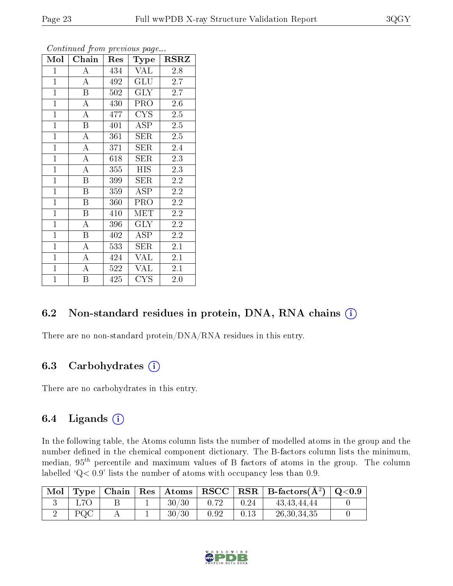| Mol            | Chain                   | $\operatorname{Res}% \left( \mathcal{N}\right) \equiv\operatorname{Res}(\mathcal{N}_{0})\cap\mathcal{N}_{1}$ | Type                    | <b>RSRZ</b> |
|----------------|-------------------------|--------------------------------------------------------------------------------------------------------------|-------------------------|-------------|
| $\mathbf{1}$   | $\boldsymbol{A}$        | 434                                                                                                          | VAL                     | 2.8         |
| $\mathbf{1}$   | $\overline{A}$          | 492                                                                                                          | GLU                     | 2.7         |
| $\overline{1}$ | $\overline{\mathrm{B}}$ | 502                                                                                                          | $\overline{\text{GLY}}$ | 2.7         |
| $\mathbf{1}$   | $\boldsymbol{A}$        | 430                                                                                                          | <b>PRO</b>              | 2.6         |
| $\overline{1}$ | $\overline{\rm A}$      | 477                                                                                                          | <b>CYS</b>              | 2.5         |
| $\mathbf{1}$   | $\, {\bf B}$            | 401                                                                                                          | <b>ASP</b>              | $2.5\,$     |
| $\mathbf{1}$   | A                       | 361                                                                                                          | SER                     | $2.5\,$     |
| $\mathbf{1}$   | A                       | 371                                                                                                          | SER                     | 2.4         |
| $\overline{1}$ | $\boldsymbol{A}$        | 618                                                                                                          | SER                     | 2.3         |
| $\overline{1}$ | $\overline{\rm A}$      | 355                                                                                                          | <b>HIS</b>              | 2.3         |
| $\mathbf{1}$   | B                       | 399                                                                                                          | SER                     | 2.2         |
| $\overline{1}$ | B                       | 359                                                                                                          | <b>ASP</b>              | 2.2         |
| $\overline{1}$ | B                       | 360                                                                                                          | <b>PRO</b>              | 2.2         |
| $\overline{1}$ | B                       | 410                                                                                                          | <b>MET</b>              | 2.2         |
| $\overline{1}$ | A                       | 396                                                                                                          | <b>GLY</b>              | 2.2         |
| $\overline{1}$ | B                       | 402                                                                                                          | ASP                     | 2.2         |
| $\overline{1}$ | A                       | 533                                                                                                          | SER                     | 2.1         |
| $\overline{1}$ | A                       | 424                                                                                                          | <b>VAL</b>              | 2.1         |
| $\mathbf{1}$   | $\boldsymbol{A}$        | 522                                                                                                          | <b>VAL</b>              | 2.1         |
| $\mathbf{1}$   | B                       | 425                                                                                                          | CYS                     | 2.0         |

#### 6.2 Non-standard residues in protein, DNA, RNA chains (i)

There are no non-standard protein/DNA/RNA residues in this entry.

#### 6.3 Carbohydrates (i)

There are no carbohydrates in this entry.

#### 6.4 Ligands  $(i)$

In the following table, the Atoms column lists the number of modelled atoms in the group and the number defined in the chemical component dictionary. The B-factors column lists the minimum, median,  $95<sup>th</sup>$  percentile and maximum values of B factors of atoms in the group. The column labelled  $Q< 0.9$ ' lists the number of atoms with occupancy less than 0.9.

|     |  |       |      |      | $\vert$ Mol $\vert$ Type $\vert$ Chain $\vert$ Res $\vert$ Atoms $\vert$ RSCC $\vert$ RSR $\vert$ B-factors(A <sup>2</sup> ) $\vert$ Q<0.9 |  |
|-----|--|-------|------|------|--------------------------------------------------------------------------------------------------------------------------------------------|--|
| L7O |  | 30/30 | 0.72 | 0.24 | 43.43.44.44                                                                                                                                |  |
| PQC |  | 30/30 | 0.92 | 0.13 | 26,30,34,35                                                                                                                                |  |

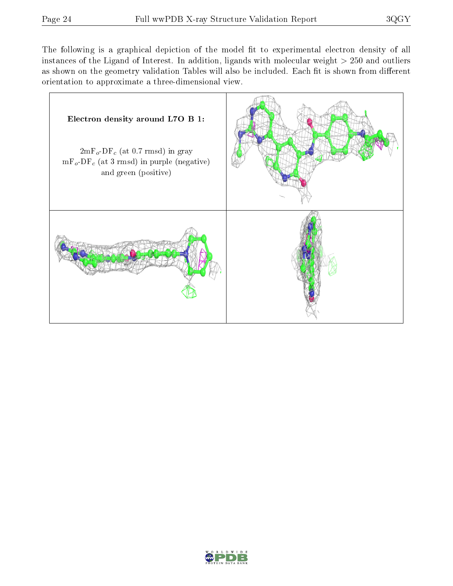The following is a graphical depiction of the model fit to experimental electron density of all instances of the Ligand of Interest. In addition, ligands with molecular weight  $> 250$  and outliers as shown on the geometry validation Tables will also be included. Each fit is shown from different orientation to approximate a three-dimensional view.